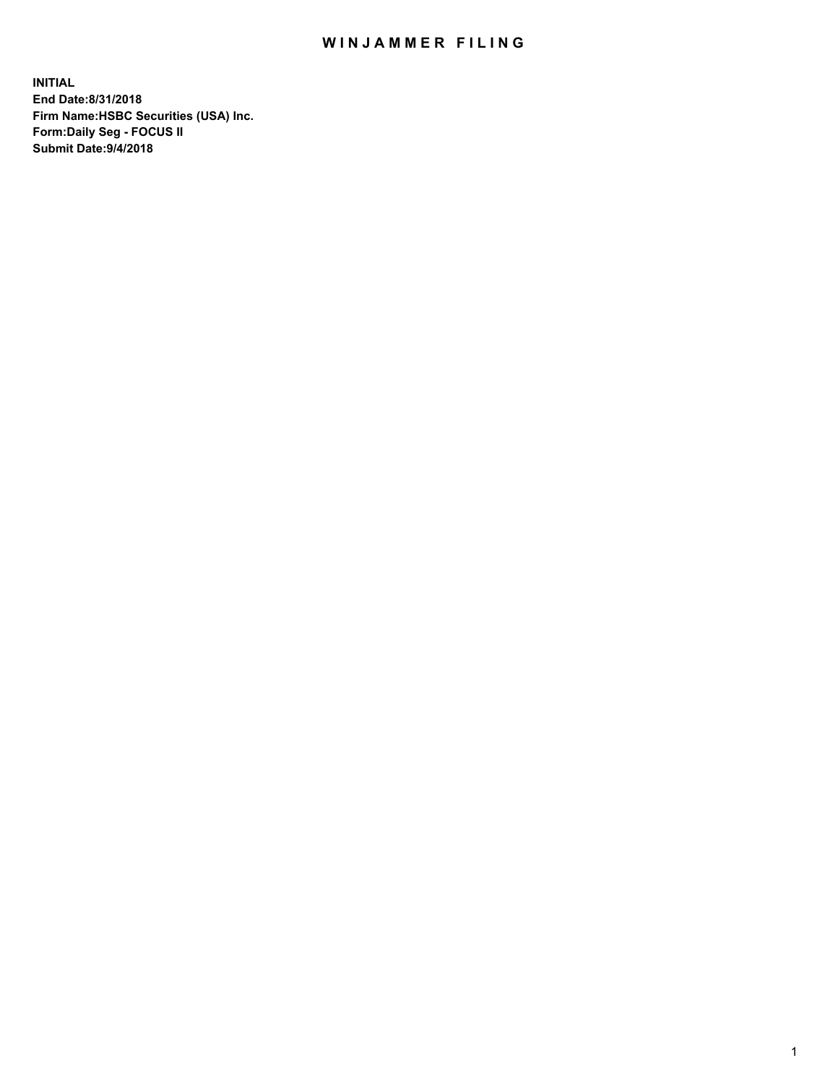## WIN JAMMER FILING

**INITIAL End Date:8/31/2018 Firm Name:HSBC Securities (USA) Inc. Form:Daily Seg - FOCUS II Submit Date:9/4/2018**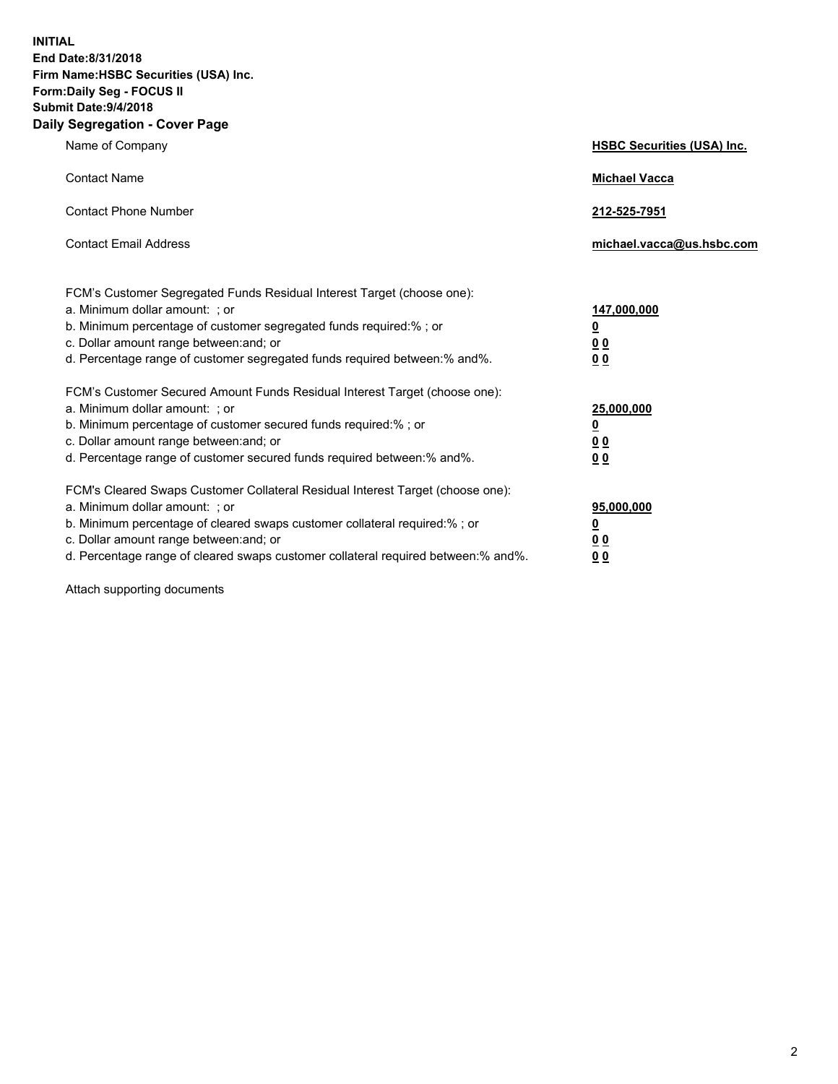**INITIAL End Date:8/31/2018 Firm Name:HSBC Securities (USA) Inc. Form:Daily Seg - FOCUS II Submit Date:9/4/2018 Daily Segregation - Cover Page**

| Name of Company                                                                                                                                                                                                                                                                                                                | <b>HSBC Securities (USA) Inc.</b>                                           |
|--------------------------------------------------------------------------------------------------------------------------------------------------------------------------------------------------------------------------------------------------------------------------------------------------------------------------------|-----------------------------------------------------------------------------|
| <b>Contact Name</b>                                                                                                                                                                                                                                                                                                            | <b>Michael Vacca</b>                                                        |
| <b>Contact Phone Number</b>                                                                                                                                                                                                                                                                                                    | 212-525-7951                                                                |
| <b>Contact Email Address</b>                                                                                                                                                                                                                                                                                                   | michael.vacca@us.hsbc.com                                                   |
| FCM's Customer Segregated Funds Residual Interest Target (choose one):<br>a. Minimum dollar amount: ; or<br>b. Minimum percentage of customer segregated funds required:% ; or<br>c. Dollar amount range between: and; or<br>d. Percentage range of customer segregated funds required between:% and%.                         | 147,000,000<br>$\underline{\mathbf{0}}$<br>0 <sub>0</sub><br>0 <sub>0</sub> |
| FCM's Customer Secured Amount Funds Residual Interest Target (choose one):<br>a. Minimum dollar amount: ; or<br>b. Minimum percentage of customer secured funds required:%; or<br>c. Dollar amount range between: and; or<br>d. Percentage range of customer secured funds required between:% and%.                            | 25,000,000<br>$\underline{\mathbf{0}}$<br>0 <sub>0</sub><br>00              |
| FCM's Cleared Swaps Customer Collateral Residual Interest Target (choose one):<br>a. Minimum dollar amount: ; or<br>b. Minimum percentage of cleared swaps customer collateral required:% ; or<br>c. Dollar amount range between: and; or<br>d. Percentage range of cleared swaps customer collateral required between:% and%. | 95,000,000<br><u>0</u><br><u>00</u><br>00                                   |

Attach supporting documents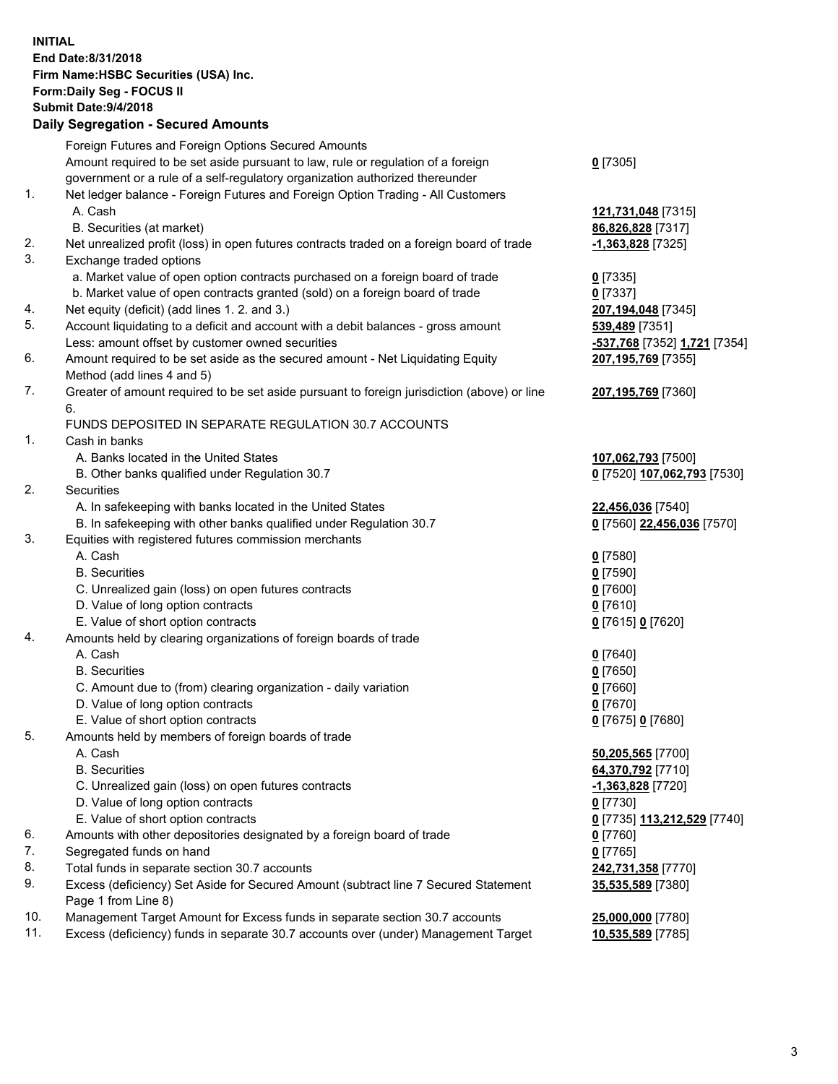**INITIAL End Date:8/31/2018 Firm Name:HSBC Securities (USA) Inc. Form:Daily Seg - FOCUS II Submit Date:9/4/2018 Daily Segregation - Secured Amounts** Foreign Futures and Foreign Options Secured Amounts Amount required to be set aside pursuant to law, rule or regulation of a foreign government or a rule of a self-regulatory organization authorized thereunder **0** [7305] 1. Net ledger balance - Foreign Futures and Foreign Option Trading - All Customers A. Cash **121,731,048** [7315] B. Securities (at market) **86,826,828** [7317] 2. Net unrealized profit (loss) in open futures contracts traded on a foreign board of trade **-1,363,828** [7325] 3. Exchange traded options a. Market value of open option contracts purchased on a foreign board of trade **0** [7335] b. Market value of open contracts granted (sold) on a foreign board of trade **0** [7337] 4. Net equity (deficit) (add lines 1. 2. and 3.) **207,194,048** [7345] 5. Account liquidating to a deficit and account with a debit balances - gross amount **539,489** [7351] Less: amount offset by customer owned securities **-537,768** [7352] **1,721** [7354] 6. Amount required to be set aside as the secured amount - Net Liquidating Equity Method (add lines 4 and 5) **207,195,769** [7355] 7. Greater of amount required to be set aside pursuant to foreign jurisdiction (above) or line 6. **207,195,769** [7360] FUNDS DEPOSITED IN SEPARATE REGULATION 30.7 ACCOUNTS 1. Cash in banks A. Banks located in the United States **107,062,793** [7500] B. Other banks qualified under Regulation 30.7 **0** [7520] **107,062,793** [7530] 2. Securities A. In safekeeping with banks located in the United States **22,456,036** [7540] B. In safekeeping with other banks qualified under Regulation 30.7 **0** [7560] **22,456,036** [7570] 3. Equities with registered futures commission merchants A. Cash **0** [7580] B. Securities **0** [7590] C. Unrealized gain (loss) on open futures contracts **0** [7600] D. Value of long option contracts **0** [7610] E. Value of short option contracts **0** [7615] **0** [7620] 4. Amounts held by clearing organizations of foreign boards of trade A. Cash **0** [7640] B. Securities **0** [7650] C. Amount due to (from) clearing organization - daily variation **0** [7660] D. Value of long option contracts **0** [7670] E. Value of short option contracts **0** [7675] **0** [7680] 5. Amounts held by members of foreign boards of trade A. Cash **50,205,565** [7700] B. Securities **64,370,792** [7710] C. Unrealized gain (loss) on open futures contracts **-1,363,828** [7720] D. Value of long option contracts **0** [7730] E. Value of short option contracts **0** [7735] **113,212,529** [7740] 6. Amounts with other depositories designated by a foreign board of trade **0** [7760] 7. Segregated funds on hand **0** [7765] 8. Total funds in separate section 30.7 accounts **242,731,358** [7770] 9. Excess (deficiency) Set Aside for Secured Amount (subtract line 7 Secured Statement Page 1 from Line 8) **35,535,589** [7380] 10. Management Target Amount for Excess funds in separate section 30.7 accounts **25,000,000** [7780] 11. Excess (deficiency) funds in separate 30.7 accounts over (under) Management Target **10,535,589** [7785]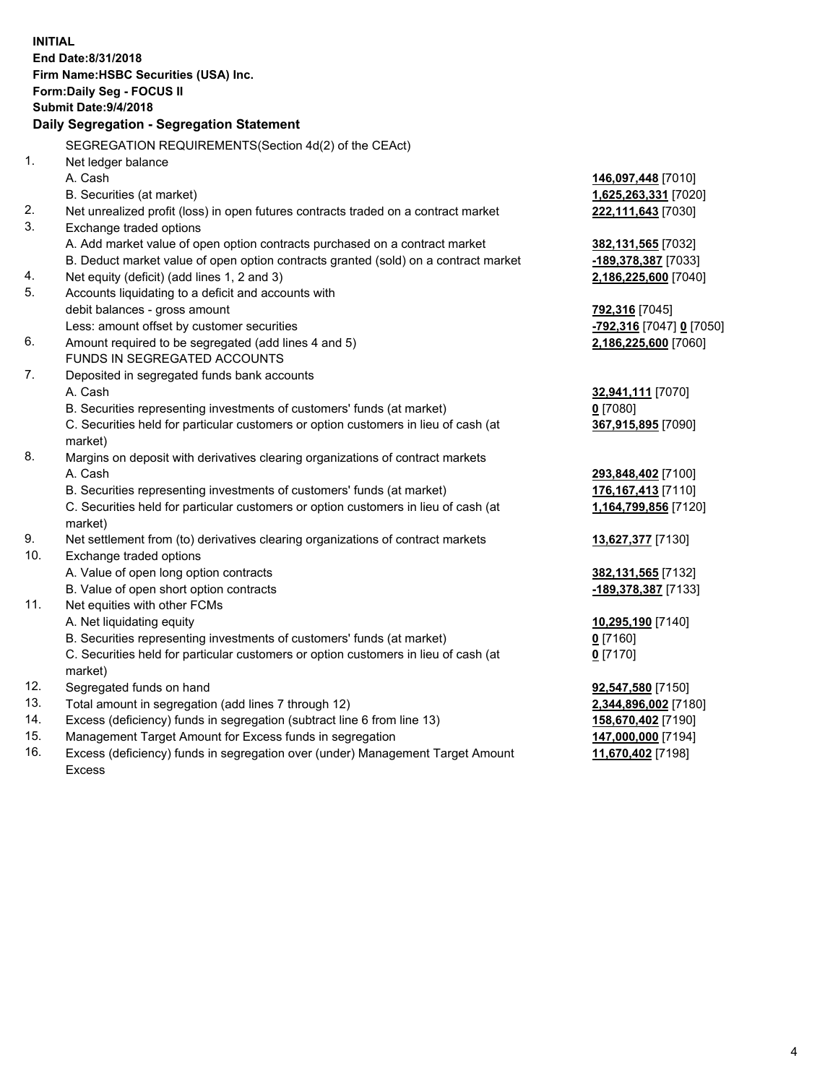|     | <b>INITIAL</b>                                                                      |                            |
|-----|-------------------------------------------------------------------------------------|----------------------------|
|     | End Date:8/31/2018                                                                  |                            |
|     | Firm Name: HSBC Securities (USA) Inc.                                               |                            |
|     | Form: Daily Seg - FOCUS II                                                          |                            |
|     | Submit Date: 9/4/2018                                                               |                            |
|     | Daily Segregation - Segregation Statement                                           |                            |
|     | SEGREGATION REQUIREMENTS(Section 4d(2) of the CEAct)                                |                            |
| 1.  | Net ledger balance                                                                  |                            |
|     | A. Cash                                                                             | 146,097,448 [7010]         |
|     | B. Securities (at market)                                                           | 1,625,263,331 [7020]       |
| 2.  | Net unrealized profit (loss) in open futures contracts traded on a contract market  | 222,111,643 [7030]         |
| 3.  | Exchange traded options                                                             |                            |
|     | A. Add market value of open option contracts purchased on a contract market         | 382,131,565 [7032]         |
|     | B. Deduct market value of open option contracts granted (sold) on a contract market | <u>-189,378,387</u> [7033] |
| 4.  | Net equity (deficit) (add lines 1, 2 and 3)                                         | 2,186,225,600 [7040]       |
| 5.  | Accounts liquidating to a deficit and accounts with                                 |                            |
|     | debit balances - gross amount                                                       | 792,316 [7045]             |
|     | Less: amount offset by customer securities                                          | -792,316 [7047] 0 [7050]   |
| 6.  | Amount required to be segregated (add lines 4 and 5)                                | 2,186,225,600 [7060]       |
|     | FUNDS IN SEGREGATED ACCOUNTS                                                        |                            |
| 7.  | Deposited in segregated funds bank accounts                                         |                            |
|     | A. Cash                                                                             | 32,941,111 [7070]          |
|     | B. Securities representing investments of customers' funds (at market)              | $0$ [7080]                 |
|     | C. Securities held for particular customers or option customers in lieu of cash (at | 367,915,895 [7090]         |
|     | market)                                                                             |                            |
| 8.  | Margins on deposit with derivatives clearing organizations of contract markets      |                            |
|     | A. Cash                                                                             | 293,848,402 [7100]         |
|     | B. Securities representing investments of customers' funds (at market)              | 176, 167, 413 [7110]       |
|     | C. Securities held for particular customers or option customers in lieu of cash (at | 1,164,799,856 [7120]       |
|     | market)                                                                             |                            |
| 9.  | Net settlement from (to) derivatives clearing organizations of contract markets     | 13,627,377 [7130]          |
| 10. | Exchange traded options                                                             |                            |
|     | A. Value of open long option contracts                                              | 382,131,565 [7132]         |
|     | B. Value of open short option contracts                                             | -189,378,387 [7133]        |
| 11. | Net equities with other FCMs                                                        |                            |
|     | A. Net liquidating equity                                                           | 10,295,190 [7140]          |
|     | B. Securities representing investments of customers' funds (at market)              | $0$ [7160]                 |
|     | C. Securities held for particular customers or option customers in lieu of cash (at | $0$ [7170]                 |
|     | market)                                                                             |                            |
| 12. | Segregated funds on hand                                                            | 92,547,580 [7150]          |
| 13. | Total amount in segregation (add lines 7 through 12)                                | 2,344,896,002 [7180]       |
| 14. | Excess (deficiency) funds in segregation (subtract line 6 from line 13)             | 158,670,402 [7190]         |
| 15. | Management Target Amount for Excess funds in segregation                            | 147,000,000 [7194]         |
| 16. | Excess (deficiency) funds in segregation over (under) Management Target Amount      | 11,670,402 [7198]          |

16. Excess (deficiency) funds in segregation over (under) Management Target Amount Excess